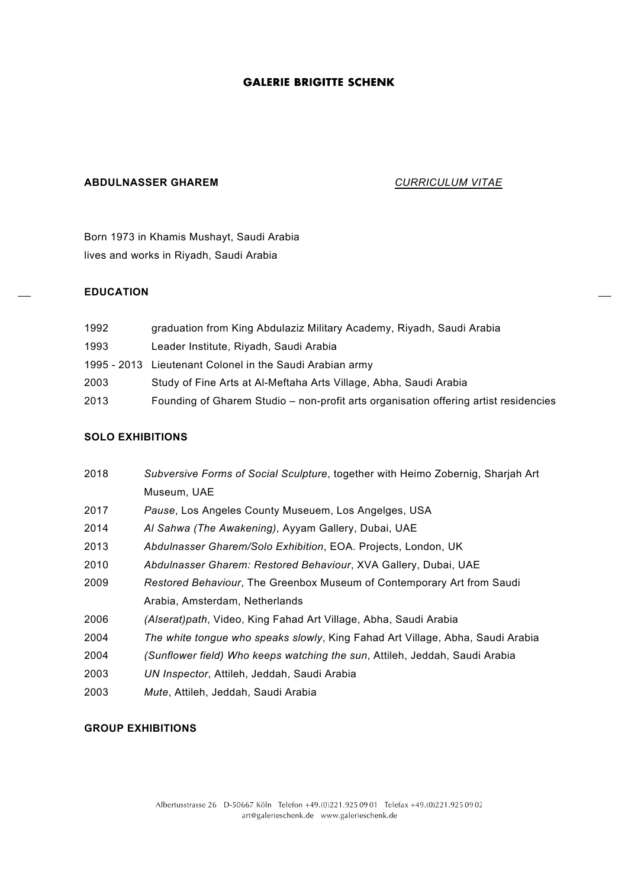# **ABDULNASSER GHAREM** *CURRICULUM VITAE*

Born 1973 in Khamis Mushayt, Saudi Arabia lives and works in Riyadh, Saudi Arabia

## **EDUCATION**

| 1992 | graduation from King Abdulaziz Military Academy, Riyadh, Saudi Arabia                |
|------|--------------------------------------------------------------------------------------|
| 1993 | Leader Institute, Riyadh, Saudi Arabia                                               |
|      | 1995 - 2013 Lieutenant Colonel in the Saudi Arabian army                             |
| 2003 | Study of Fine Arts at Al-Meftaha Arts Village, Abha, Saudi Arabia                    |
| 2013 | Founding of Gharem Studio – non-profit arts organisation offering artist residencies |

## **SOLO EXHIBITIONS**

| 2018 | Subversive Forms of Social Sculpture, together with Heimo Zobernig, Sharjah Art |
|------|---------------------------------------------------------------------------------|
|      | Museum, UAE                                                                     |
| 2017 | Pause, Los Angeles County Museuem, Los Angelges, USA                            |
| 2014 | Al Sahwa (The Awakening), Ayyam Gallery, Dubai, UAE                             |
| 2013 | Abdulnasser Gharem/Solo Exhibition, EOA. Projects, London, UK                   |
| 2010 | Abdulnasser Gharem: Restored Behaviour, XVA Gallery, Dubai, UAE                 |
| 2009 | Restored Behaviour, The Greenbox Museum of Contemporary Art from Saudi          |
|      | Arabia, Amsterdam, Netherlands                                                  |
| 2006 | (Alserat)path, Video, King Fahad Art Village, Abha, Saudi Arabia                |
| 2004 | The white tongue who speaks slowly, King Fahad Art Village, Abha, Saudi Arabia  |
| 2004 | (Sunflower field) Who keeps watching the sun, Attileh, Jeddah, Saudi Arabia     |
| 2003 | UN Inspector, Attileh, Jeddah, Saudi Arabia                                     |
| 2003 | Mute, Attileh, Jeddah, Saudi Arabia                                             |

### **GROUP EXHIBITIONS**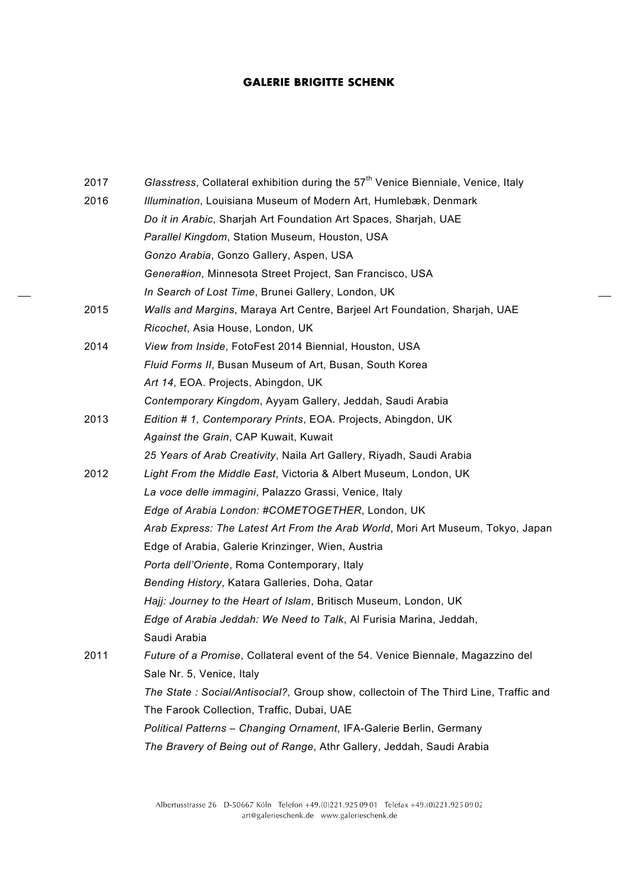| 2017 | Glasstress, Collateral exhibition during the 57 <sup>th</sup> Venice Bienniale, Venice, Italy |
|------|-----------------------------------------------------------------------------------------------|
| 2016 | Illumination, Louisiana Museum of Modern Art, Humlebæk, Denmark                               |
|      |                                                                                               |
|      | Do it in Arabic, Sharjah Art Foundation Art Spaces, Sharjah, UAE                              |
|      | Parallel Kingdom, Station Museum, Houston, USA                                                |
|      | Gonzo Arabia, Gonzo Gallery, Aspen, USA                                                       |
|      | Genera#ion, Minnesota Street Project, San Francisco, USA                                      |
|      | In Search of Lost Time, Brunei Gallery, London, UK                                            |
| 2015 | Walls and Margins, Maraya Art Centre, Barjeel Art Foundation, Sharjah, UAE                    |
|      | Ricochet, Asia House, London, UK                                                              |
| 2014 | View from Inside, FotoFest 2014 Biennial, Houston, USA                                        |
|      | Fluid Forms II, Busan Museum of Art, Busan, South Korea                                       |
|      | Art 14, EOA. Projects, Abingdon, UK                                                           |
|      | Contemporary Kingdom, Ayyam Gallery, Jeddah, Saudi Arabia                                     |
| 2013 | Edition # 1, Contemporary Prints, EOA. Projects, Abingdon, UK                                 |
|      | Against the Grain, CAP Kuwait, Kuwait                                                         |
|      | 25 Years of Arab Creativity, Naila Art Gallery, Riyadh, Saudi Arabia                          |
| 2012 | Light From the Middle East, Victoria & Albert Museum, London, UK                              |
|      | La voce delle immagini, Palazzo Grassi, Venice, Italy                                         |
|      | Edge of Arabia London: #COMETOGETHER, London, UK                                              |
|      | Arab Express: The Latest Art From the Arab World, Mori Art Museum, Tokyo, Japan               |
|      | Edge of Arabia, Galerie Krinzinger, Wien, Austria                                             |
|      | Porta dell'Oriente, Roma Contemporary, Italy                                                  |
|      | Bending History, Katara Galleries, Doha, Qatar                                                |
|      | Hajj: Journey to the Heart of Islam, Britisch Museum, London, UK                              |
|      | Edge of Arabia Jeddah: We Need to Talk, Al Furisia Marina, Jeddah,                            |
|      | Saudi Arabia                                                                                  |
| 2011 | Future of a Promise, Collateral event of the 54. Venice Biennale, Magazzino del               |
|      | Sale Nr. 5, Venice, Italy                                                                     |
|      | The State: Social/Antisocial?, Group show, collectoin of The Third Line, Traffic and          |
|      | The Farook Collection, Traffic, Dubai, UAE                                                    |
|      | Political Patterns - Changing Ornament, IFA-Galerie Berlin, Germany                           |
|      | The Bravery of Being out of Range, Athr Gallery, Jeddah, Saudi Arabia                         |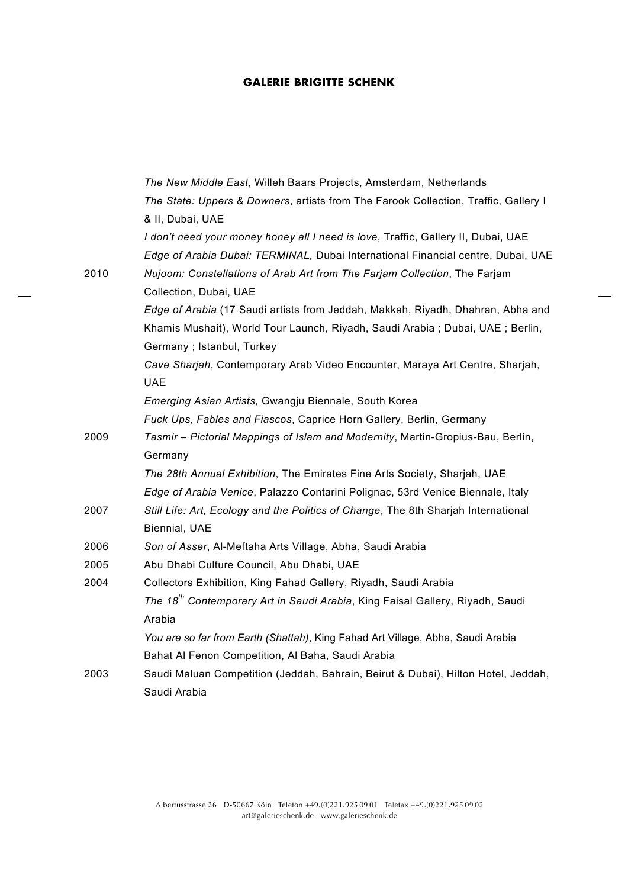|      | The New Middle East, Willeh Baars Projects, Amsterdam, Netherlands                        |
|------|-------------------------------------------------------------------------------------------|
|      | The State: Uppers & Downers, artists from The Farook Collection, Traffic, Gallery I       |
|      | & II, Dubai, UAE                                                                          |
|      | I don't need your money honey all I need is love, Traffic, Gallery II, Dubai, UAE         |
|      | Edge of Arabia Dubai: TERMINAL, Dubai International Financial centre, Dubai, UAE          |
| 2010 | Nujoom: Constellations of Arab Art from The Farjam Collection, The Farjam                 |
|      | Collection, Dubai, UAE                                                                    |
|      | Edge of Arabia (17 Saudi artists from Jeddah, Makkah, Riyadh, Dhahran, Abha and           |
|      | Khamis Mushait), World Tour Launch, Riyadh, Saudi Arabia; Dubai, UAE; Berlin,             |
|      | Germany; Istanbul, Turkey                                                                 |
|      | Cave Sharjah, Contemporary Arab Video Encounter, Maraya Art Centre, Sharjah,              |
|      | <b>UAE</b>                                                                                |
|      | Emerging Asian Artists, Gwangju Biennale, South Korea                                     |
|      | Fuck Ups, Fables and Fiascos, Caprice Horn Gallery, Berlin, Germany                       |
| 2009 | Tasmir - Pictorial Mappings of Islam and Modernity, Martin-Gropius-Bau, Berlin,           |
|      | Germany                                                                                   |
|      | The 28th Annual Exhibition, The Emirates Fine Arts Society, Sharjah, UAE                  |
|      | Edge of Arabia Venice, Palazzo Contarini Polignac, 53rd Venice Biennale, Italy            |
| 2007 | Still Life: Art, Ecology and the Politics of Change, The 8th Sharjah International        |
|      | <b>Biennial, UAE</b>                                                                      |
| 2006 | Son of Asser, Al-Meftaha Arts Village, Abha, Saudi Arabia                                 |
| 2005 | Abu Dhabi Culture Council, Abu Dhabi, UAE                                                 |
| 2004 | Collectors Exhibition, King Fahad Gallery, Riyadh, Saudi Arabia                           |
|      | The 18 <sup>th</sup> Contemporary Art in Saudi Arabia, King Faisal Gallery, Riyadh, Saudi |
|      | Arabia                                                                                    |
|      | You are so far from Earth (Shattah), King Fahad Art Village, Abha, Saudi Arabia           |
|      | Bahat Al Fenon Competition, Al Baha, Saudi Arabia                                         |
| 2003 | Saudi Maluan Competition (Jeddah, Bahrain, Beirut & Dubai), Hilton Hotel, Jeddah,         |
|      | Saudi Arabia                                                                              |